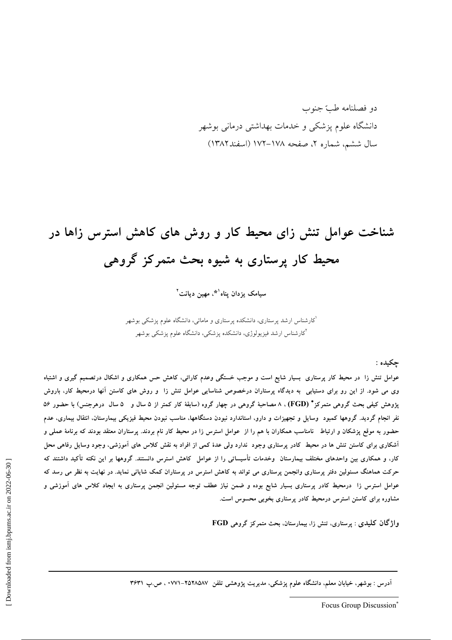دو فصلنامه طبّ جنوب دانشگاه علوم یزشکی و خدمات بهداشتی درمانی بوشهر سال ششم، شماره ۲، صفحه ۱۷۸–۱۷۲ (اسفند۱۳۸۲)

# شناخت عوامل تنش زای محیط کار و روش های کاهش استرس زاها در محیط کار پرستاری به شیوه بحث متمرکز گروهی

سیامک یزدان یناه<sup>۹۰</sup>، مهین دیانت<sup>۲</sup>

.<br>کارشناس ارشد پرستاری، دانشکده پرستاری و مامائی، دانشگاه علوم پزشک<sub>ی</sub> بوشهر <sup>ا</sup>کارشناس ارشد فیزیولوژی، دانشکده پزشکی، دانشگاه علوم پزشکی بوشهر

چکیده :

عوامل تنش زا در محیط کار پرستاری بسیار شایع است و موجب خستگی وعدم کارائی، کاهش حس همکاری و اشکال درتصمیم گیری و اشتباه وی می شود. از این رو برای دستیابی به دیدگاه پرستاران درخصوص شناسایی عوامل تنش زا و روش های کاستن آنها درمحیط کار، باروش یژوهش کیفی بحث گروهی متمرکز\* (FGD) ، ۸ مصاحبهٔ گروهی در چهار گروه (سابقهٔ کار کمتر از ۵ سال و ۵ سال درهرجنس) با حضور ۵۶ نفر انجام گردید. گروهها کمبود وسایل و تجهیزات و دارو، استاندارد نبودن دستگاهها، مناسب نبودن محیط فیزیکی بیمارستان، انتقال بیماری، عدم حضور به موقع پزشکان و ارتباط نامناسب همکاران با هم را از عوامل استرس زا در محیط کار نام بردند. پرستاران معتقد بودند که برنامهٔ عملی و آشکاری برای کاستن تنش ها در محیط کادر پرستاری وجود ندارد ولی عدهٔ کمی از افراد به نقش کلاس های آموزشی، وجود وسایل رفاهی محل کار، و همکاری بین واحدهای مختلف بیمارستان وخدمات تأسیساتی را از عوامل کاهش استرس دانستند. گروهها بر این نکته تأکید داشتند که حرکت هماهنگ مسئولین دفتر پرستاری وانجمن پرستاری می تواند به کاهش استرس در پرستاران کمک شایانی نماید. در نهایت به نظر می رسد که عوامل استرس زا درمحیط کادر پرستاری بسیار شایع بوده و ضمن نیاز عطف توجه مسئولین انجمن پرستاری به ایجاد کلاس های آموزشی و مشاوره برای کاستن استرس درمحیط کادر پرستاری بخوبی محسوس است.

واژگان کلیدی : پرستاری، تنش زا، بیمارستان، بحث متمرکز گروهی FGD

آدرس : بوشهر، خیابان معلم، دانشگاه علوم پزشکی، مدیریت پژوهشی تلفن ۲۵۲۸۵۸۷–۲۷۷۱ ، ص.پ ۳۶۳۱

Focus Group Discussion\*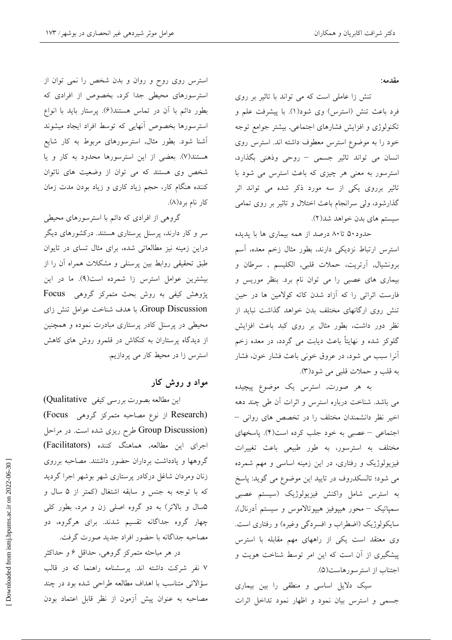مقدمه:

تنش زا عاملی است که می تواند با تاثیر بر روی فرد باعث تنش (استرس) وي شود(١). با پيشرفت علم و تکنولوژی و افزایش فشارهای اجتماعی, بیشتر جوامع توجه خود را به موضوع استرس معطوف داشته اند. استرس روى انسان می تواند تاثیر جسمی - روحی وذهنی بگذارد، استرسور به معنی هر چیزی که باعث استرس می شود با تاثیر برروی یکی از سه مورد ذکر شده می تواند اثر گذارشود، ولی سرانجام باعث اختلال و تاثیر بر روی تمامی سیستم های بدن خواهد شد(۲).

حدود۵۰ تا۸۰ درصد از همه بیماری ها با پدیده استرس ارتباط نزديكي دارند، بطور مثال زخم معده، آسم برونشیال, آرتریت، حملات قلبی, الکلیسم , سرطان و بیماری های عصبی را می توان نام برد. بنظر موریس و فارست اثراتی را که آزاد شدن کاته کولامین ها در حین تنش روی ارگانهای مختلف بدن خواهد گذاشت نباید از نظر دور داشت، بطور مثال بر روی کبد باعث افزایش گلوکز شده و نهایتاً باعث دیابت می گردد، در معده زخم آنرا سبب می شود، در عروق خونی باعث فشار خون، فشار به قلب و حملات قلبي مي شود(٣).

به هر صورت, استرس یک موضوع پیچیده می باشد. شناخت درباره استرس و اثرات آن طی چند دهه اخیر نظر دانشمندان مختلف را در تخصص های روانی – اجتماعی – عصبی به خود جلب کرده است(۴). پاسخهای مختلف به استرسور، به طور طبیعی باعث تغییرات فیزیولوژیک و رفتاری، در این زمینه اساسی و مهم شمرده می شود؛ تالسکدروف در تایید این موضوع می گوید: پاسخ به استرس شامل واكنش فيزيولوژيك (سيستم عصبي سمپاتیک – محور هیپوفیز هیپوتالاموس و سیستم آدرنال), سایکولوژیک (اضطراب و افسردگی وغیره) و رفتاری است. وی معتقد است یکی از راههای مهم مقابله با استرس پیشگیری از آن است که این امر توسط شناخت هویت و اجتناب از استر سورهاست(۵).

سیک دلایل اساسی و منطقی را بین بیماری جسمی و استرس بیان نمود و اظهار نمود تداخل اثرات

استرس روی روح و روان و بدن شخص را نمی توان از استرسورهای محیطی جدا کرد، بخصوص از افرادی که بطور دائم با آن در تماس هستند(۶). پرستار باید با انواع استرسورها بخصوص أنهايى كه توسط افراد ايجاد ميشوند آشنا شود. بطور مثال, استرسورهای مربوط به کار شایع هستند(۷). بعضی از این استرسورها محدود به کار و یا شخص وی هستند که می توان از وضعیت های ناتوان کننده هنگام کار، حجم زیاد کاری و زیاد بودن مدت زمان کار نام برد(۸).

گروهی از افرادی که دائم با استرسورهای محیطی سر و کار دارند، پرسنل پرستاری هستند. درکشورهای دیگر دراین زمینه نیز مطالعاتی شده، برای مثال تسای در تایوان طبق تحقیقی روابط بین پرسنلی و مشکلات همراه آن را از بیشترین عوامل استرس زا شمرده است(۹). ما در این پژوهش کیفی به روش بحث متمرکز گروهی Focus Group Discussion، با هدف شناخت عوامل تنش زای محیطی در پرسنل کادر پرستاری مبادرت نموده و همچنین از دیدگاه پرستاران به کنکاش در قلمرو روش های کاهش استرس زا در محیط کار می پردازیم.

## مواد و روش کار

این مطالعه بصورت بررسی کیفی Qualitative) (Research از نوع مصاحبه متمرکز گروهی Focus) (Group Discussion طرح ریزی شده است. در مراحل اجرای این مطالعه, هماهنگ کننده (Facilitators) گروهها و یادداشت برداران حضور داشتند. مصاحبه برروی زنان ومردان شاغل دركادر پرستارى شهر بوشهر اجرا گرديد که با توجه به جنس و سابقه اشتغال (کمتر از ۵ سال و ۵سال و بالاتر) به دو گروه اصلی زن و مرد، بطور کلی چهار گروه جداگانه تقسیم شدند. برای هرگروه، دو مصاحبه جداگانه با حضور افراد جدید صورت گرفت.

در هر مباحثه متمرکز گروهی, حداقل ۶ و حداکثر ۷ نفر شرکت داشته اند. پرسشنامه راهنما که در قالب سؤالاتی متناسب با اهداف مطالعه طراحی شده بود در چند مصاحبه به عنوان پیش آزمون از نظر قابل اعتماد بودن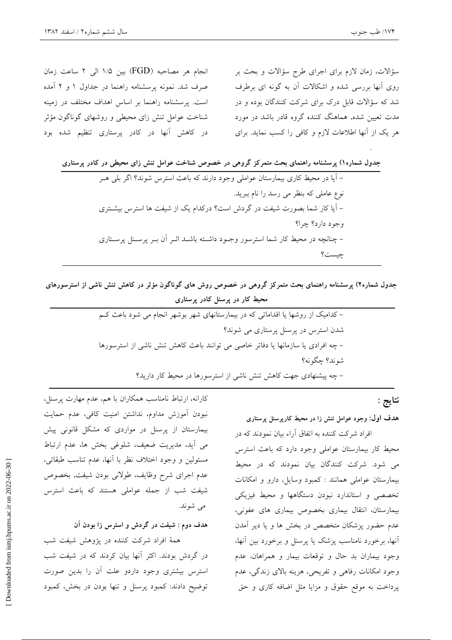انجام هر مصاحبه (FGD) بين ١/۵ الى ٢ ساعت زمان صرف شد. نمونه پرسشنامه راهنما در جداول ۱ و ۲ آمده است. پرسشنامه راهنما بر اساس اهداف مختلف در زمینه شناخت عوامل تنش زای محیطی و روشهای گوناگون مؤثر در کاهش آنها در کادر پرستاری تنظیم شده بود

سؤالات، زمان لازم برای اجرای طرح سؤالات و بحث بر روی آنها بررسی شده و اشکالات آن به گونه ای برطرف شد که سؤالات قابل درک برای شرکت کنندگان بوده و در مدت تعیین شده, هماهنگ کننده گروه قادر باشد در مورد هر یک از آنها اطلاعات لازم و کافی را کسب نماید. برای

| جدول شماره۱) پرسشنامه راهنمای بحث متمرکز گروهی در خصوص شناخت عوامل تنش زای محیطی در کادر پرستاری |
|--------------------------------------------------------------------------------------------------|
| – آیا در محیط کاری بیمارستان عواملی وجود دارند که باعث استرس شوند؟ اگر بلی هــر                  |
| نوع عاملی که بنظر می رسد را نام ببرید.                                                           |
| – آیا کار شما بصورت شیفت در گردش است؟ درکدام یک از شیفت ها استرس بیشــتری                        |
| وجود دارد؟ چرا؟                                                                                  |
| – چنانچه در محیط کار شما استرسور وجـود داشـته باشــد اثــر آن بــر پرســنل پرســتاری             |
| چيست؟                                                                                            |

جدول شماره۲) پرسشنامه راهنمای بحث متمرکز گروهی در خصوص روش های گوناگون مؤثر در کاهش تنش ناشی از استرسورهای محیط کار در پرسنل کادر پرستاری

| –کدامیک از روشها یا اقداماتی که در بیمارستانهای شهر بوشهر انجام می شود باعث ک   |
|---------------------------------------------------------------------------------|
| شدن استرس در پرسنل پرستاری می شوند؟                                             |
| – چه افرادی یا سازمانها یا دفاتر خاصی می توانند باعث کاهش تنش ناشی از استرسورها |
| شوند؟ چگونه؟                                                                    |
| – چه پیشنهادی جهت کاهش تنش ناشی از استرسورها در محیط کار دارید؟                 |

نتايج :

#### هدف اول: وجود عوامل تنش زا در محیط کارپرسنل پرستاری

افراد شرکت کننده به اتفاق آراء بیان نمودند که در محیط کار بیمارستان عواملی وجود دارد که باعث استرس می شود. شرکت کنندگان بیان نمودند که در محیط بیمارستان عواملی همانند : کمبود وسایل، دارو و امکانات تخصصی و استاندارد نبودن دستگاهها و محیط فیزیکی بيمارستان، انتقال بيماري بخصوص بيماري هاي عفوني، عدم حضور پزشکان متخصص در بخش ها و یا دیر آمدن آنها، برخورد نامناسب پزشک یا پرسنل و برخورد بین آنها، وجود بيماران بد حال و توقعات بيمار و همراهان، عدم وجود امکانات رفاهی و تفریحی، هزینه بالای زندگی، عدم پرداخت به موقع حقوق و مزايا مثل اضافه كارى و حق

کارانه، ارتباط نامناسب همکاران با هم، عدم مهارت پرسنل، نبودن آموزش مداوم، نداشتن امنیت کافی، عدم حمایت بیمارستان از پرسنل در مواردی که مشکل قانونی پیش می آید، مدیریت ضعیف، شلوغی بخش ها، عدم ارتباط مسئولين و وجود اختلاف نظر با آنها، عدم تناسب طبقاتي، عدم اجرای شرح وظایف، طولانی بودن شیفت, بخصوص شیفت شب از جمله عواملی هستند که باعث استرس مي شوند.

هدف دوم : شیفت در گردش و استرس زا بودن آن

همهٔ افراد شرکت کننده در پژوهش شیفت شب در گردش بودند. اکثر آنها بیان کردند که در شیفت شب استرس بیشتری وجود داردو علت أن را بدین صورت توضيح دادند: كمبود پرسنل و تنها بودن در بخش، كمبود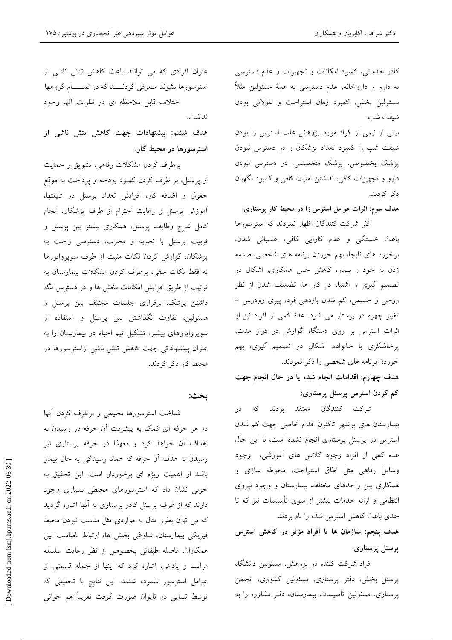کادر خدماتی، کمبود امکانات و تجهیزات و عدم دسترسی به دارو و داروخانه, عدم دسترسی به همهٔ مسئولین مثلاً مسئولین بخش، کمبود زمان استراحت و طولانی بودن شيفت شب.

بیش از نیمی از افراد مورد پژوهش علت استرس زا بودن شیفت شب را کمبود تعداد پزشکان و در دسترس نبودن پزشک بخصوص, پزشک متخصص، در دسترس نبودن دارو و تجهیزات کافی، نداشتن امنیت کافی و کمبود نگهبان ذكر كردند.

هدف سوم: اثرات عوامل استرس زا در محیط کار پرستاری:

اکثر شرکت کنندگان اظهار نمودند که استرسورها باعث خستگی و عدم کارایی کافی، عصبانی شدن، برخورد های نابجا، بهم خوردن برنامه های شخصی، صدمه زدن به خود و بیمار، کاهش حس همکاری، اشکال در تصمیم گیری و اشتباه در کار ها، تضعیف شدن از نظر روحی و جسمی، کم شدن بازدهی فرد، پیری زودرس -تغییر چهره در پرستار می شود. عدهٔ کمی از افراد نیز از اثرات استرس بر روی دستگاه گوارش در دراز مدت، پرخاشگری با خانواده، اشکال در تصمیم گیری، بهم خوردن برنامه های شخصی را ذکر نمودند.

هدف چهارم: اقدامات انجام شده یا در حال انجام جهت کم کردن استرس پرسنل پرستاری:

شرکت کنندگان معتقد بودند که در بیمارستان های بوشهر تاکنون اقدام خاصی جهت کم شدن استرس در پرسنل پرستاری انجام نشده است، با این حال عده کمی از افراد وجود کلاس های آموزشی، وجود وسایل رفاهی مثل اطاق استراحت، محوطه سازی و همکاری بین واحدهای مختلف بیمارستان و وجود نیروی انتظامی و ارائه خدمات بیشتر از سوی تأسیسات نیز که تا حدی باعث کاهش استرس شده را نام بردند.

هدف پنجم: سازمان ها یا افراد مؤثر در کاهش استرس یرسنل پرستاری:

افراد شرکت کننده در پژوهش, مسئولین دانشگاه پرسنل بخش، دفتر پرستاری، مسئولین کشوری، انجمن پرستاری، مسئولین تأسیسات بیمارستان، دفتر مشاوره را به

عنوان افرادی که می توانند باعث کاهش تنش ناشی از استرسورها بشوند معرفى كردنسد كه در تمسام گروهها اختلاف قابل ملاحظه اي در نظرات أنها وجود

هدف ششم: پیشنهادات جهت کاهش تنش ناشی از استرسورها در محیط کار:

برطرف کردن مشکلات رفاهی، تشویق و حمایت از پرسنل، بر طرف کردن کمبود بودجه و پرداخت به موقع حقوق و اضافه کار، افزایش تعداد پرسنل در شیفتها، آموزش پرسنل و رعایت احترام از طرف پزشکان، انجام کامل شرح وظایف پرسنل، همکاری بیشتر بین پرسنل و تربیت پرسنل با تجربه و مجرب، دسترسی راحت به پزشکان، گزارش کردن نکات مثبت از طرف سوپروایزرها نه فقط نكات منفى، برطرف كردن مشكلات بيمارستان به ترتیب از طریق افزایش امکانات بخش ها و در دسترس نگه داشتن پزشک، برقراری جلسات مختلف بین پرسنل و مسئولین، تفاوت نگذاشتن بین پرسنل و استفاده از سوپروایزرهای بیشتر، تشکیل تیم احیاء در بیمارستان را به عنوان پیشنهاداتی جهت کاهش تنش ناشی ازاسترسورها در محیط کار ذکر کردند.

### بحث:

نداشت.

شناخت استرسورها محيطى وبرطرف كردن أنها در هر حرفه ای کمک به پیشرفت آن حرفه در رسیدن به اهداف آن خواهد کرد و معهذا در حرفه پرستاری نیز رسیدن به هدف آن حرفه که همانا رسیدگی به حال بیمار باشد از اهمیت ویژه ای برخوردار است. این تحقیق به خوبی نشان داد که استرسورهای محیطی بسیاری وجود دارند که از طرف پرسنل کادر پرستاری به آنها اشاره گردید که می توان بطور مثال به مواردی مثل مناسب نبودن محیط فیزیکی بیمارستان، شلوغی بخش ها، ارتباط نامناسب بین همكاران، فاصله طبقاتي بخصوص از نظر رعايت سلسله مراتب و پاداش، اشاره کرد که اینها از جمله قسمتی از عوامل استرسور شمرده شدند. این نتایج با تحقیقی که توسط تسایی در تایوان صورت گرفت تقریباً هم خوانی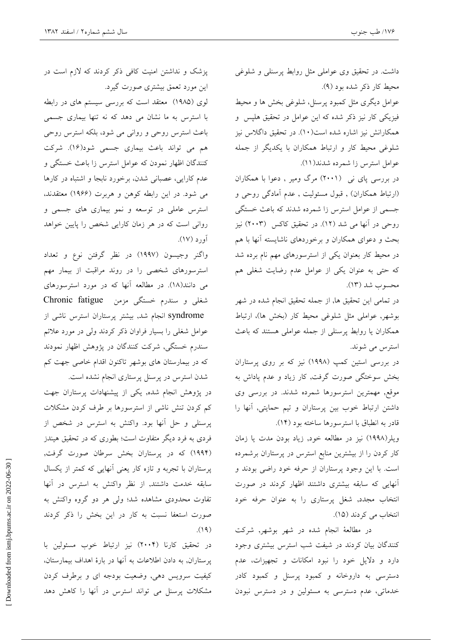داشت. در تحقیق وی عواملی مثل روابط پرسنلی و شلوغی محيط كار ذكر شده بود (٩). عوامل دیگری مثل کمبود پرسنل، شلوغی بخش ها و محیط فیزیکی کار نیز ذکر شده که این عوامل در تحقیق هلپس و همکارانش نیز اشاره شده است(۱۰). در تحقیق داگلاس نیز شلوغی محیط کار و ارتباط همکاران با یکدیگر از جمله عوامل استرس زا شمرده شدند(١١).

در بررسی یای نی (۲۰۰۱) مرگ ومیر , دعوا با همکاران (ارتباط همکاران) , قبول مسئولیت , عدم آمادگی روحی و جسمی از عوامل استرس زا شمرده شدند که باعث خستگی روحی در آنها می شد (۱۲). در تحقیق کاکس (۲۰۰۳) نیز بحث و دعوای همکاران و برخوردهای ناشایسته آنها با هم در محیط کار بعنوان یکی از استرسورهای مهم نام برده شد که حتی به عنوان یکی از عوامل عدم رضایت شغلی هم محسوب شد (١٣).

در تمامی این تحقیق ها, از جمله تحقیق انجام شده در شهر بوشهر, عواملي مثل شلوغي محيط كار (بخش ها)، ارتباط همکاران یا روابط پرسنلی از جمله عواملی هستند که باعث استرس می شوند.

در بررسی استین کمپ (۱۹۹۸) نیز که بر روی پرستاران بخش سوختگی صورت گرفت, کار زیاد و عدم پاداش به موقع, مهمترین استرسورها شمرده شدند. در بررسی وی داشتن ارتباط خوب بین پرستاران و تیم حمایتی, آنها را قادر به انطباق با استرسورها ساخته بود (١۴).

ویلر(١٩٩٨) نیز در مطالعه خود, زیاد بودن مدت یا زمان کار کردن را از بیشترین منابع استرس در پرستاران برشمرده است. با این وجود پرستاران از حرفه خود راضی بودند و آنهایی که سابقه بیشتری داشتند اظهار کردند در صورت انتخاب مجدد, شغل پرستاری را به عنوان حرفه خود انتخاب می کردند (١٥).

در مطالعهٔ انجام شده در شهر بوشهر, شرکت کنندگان بیان کردند در شیفت شب استرس بیشتری وجود دارد و دلایل خود را نبود امکانات و تجهیزات، عدم دسترسی به داروخانه و کمبود پرسنل و کمبود کادر خدماتی، عدم دسترسی به مسئولین و در دسترس نبودن

پزشک و نداشتن امنیت کافی ذکر کردند که لازم است در این مورد تعمق بیشتری صورت گیرد.

لوی (۱۹۸۵) معتقد است که بررسی سیستم های در رابطه با استرس به ما نشان می دهد که نه تنها بیماری جسمی باعث استرس روحی و روانی می شود، بلکه استرس روحی هم می تواند باعث بیماری جسمی شود(۱۶). شرکت کنندگان اظهار نمودن که عوامل استرس زا باعث خستگی و عدم کارایی، عصبانی شدن، برخورد نابجا و اشتباه در کارها می شود. در این رابطه کوهن و هربرت (۱۹۶۶) معتقدند، استرس عاملی در توسعه و نمو بیماری های جسمی و روانی است که در هر زمان کارایی شخص را پایین خواهد آور د (۱۷).

واگنر وجیسون (۱۹۹۷) در نظر گرفتن نوع و تعداد استرسورهای شخصی را در روند مراقبت از بیمار مهم می دانند(۱۸). در مطالعه آنها که در مورد استرسورهای شغلی و سندرم خستگی مزمن Chronic fatigue syndrome انجام شد, بیشتر پرستاران استرس ناشی از عوامل شغلبی را بسیار فراوان ذکر کردند ولی در مورد علائم سندرم خستگی, شرکت کنندگان در پژوهش اظهار نمودند که در بیمارستان های بوشهر تاکنون اقدام خاصی جهت کم شدن استرس در پرسنل پرستاری انجام نشده است.

در پژوهش انجام شده, یکی از پیشنهادات پرستاران جهت کم کردن تنش ناشی از استرسورها بر طرف کردن مشکلات پرسنلی و حل آنها بود. واکنش به استرس در شخص از فردی به فرد دیگر متفاوت است؛ بطوری که در تحقیق هیندز (۱۹۹۴) که در پرستاران بخش سرطان صورت گرفت, پرستاران با تجربه و تازه کار یعنی آنهایی که کمتر از یکسال سابقه خدمت داشتند, از نظر واکنش به استرس در آنها تفاوت محدودی مشاهده شد؛ ولی هر دو گروه واکنش به صورت استعفا نسبت به كار در اين بخش را ذكر كردند  $(19)$ 

در تحقیق کارنا (۲۰۰۴) نیز ارتباط خوب مسئولین با یرستاران, به دادن اطلاعات به آنها در بارهٔ اهداف بیمارستان، کیفیت سرویس دهی, وضعیت بودجه ای و برطرف کردن مشکلات پرسنل می تواند استرس در آنها را کاهش دهد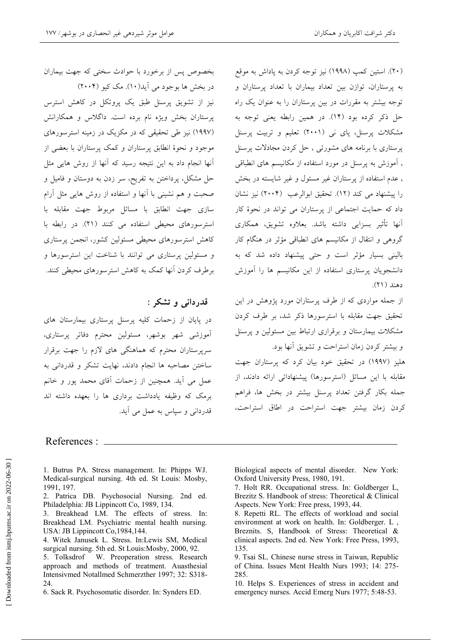بخصوص پس از برخورد با حوادث سختی که جهت بیماران در بخش ها بوجود می آید(۱۰). مک کیو (۲۰۰۴) نیز از تشویق پرسنل طبق یک پروتکل در کاهش استرس پرستاران بخش ویژه نام برده است. داگلاس و همکارانش (۱۹۹۷) نیز طی تحقیقی که در مکزیک در زمینه استرسورهای موجود و نحوهٔ انطابق پرستاران و کمک پرستاران با بعضی از آنها انجام داد به این نتیجه رسید که آنها از روش هایی مثل حل مشکل، پرداختن به تفریح، سر زدن به دوستان و فامیل و صحبت و هم نشینی با آنها و استفاده از روش هایی مثل آرام سازی جهت انطابق با مسائل مربوط جهت مقابله با استرسورهای محیطی استفاده می کنند (۲۱). در رابطه با كاهش استرسورهاى محيطى مسئولين كشور، انجمن يرستارى و مسئولین پرستاری می توانند با شناخت این استرسورها و برطرف کردن آنها کمک به کاهش استرسورهای محیطی کنند.

# قدرداني و تشکر :

در پایان از زحمات کلیه پرسنل پرستاری بیمارستان های ۔<br>آموزشی شهر بوشهر، مسئولین محترم دفاتر پرستاری، سرپرستاران محترم که هماهنگی های لازم را جهت برقرار ساختن مصاحبه ها انجام دادند، نهایت تشکر و قدردان<sub>ی</sub> به عمل می آید. همچنین از زحمات آقای محمد یور و خانم برمک که وظیفه یادداشت برداری ها را بعهده داشته اند قدردانی و سیاس به عمل می آید.

(۲۰). استین کمپ (۱۹۹۸) نیز توجه کردن به پاداش به موقع به پرستاران، توازن بین تعداد بیماران با تعداد پرستاران و توجه بیشتر به مقررات در بین پرستاران را به عنوان یک راه حل ذکر کرده بود (۱۴). در همین رابطه یعنی توجه به مشکلات پرسنل، پای نی (۲۰۰۱) تعلیم و تربیت پرسنل پرستاری با برنامه های مشورتی , حل کردن مجادلات پرسنل , آموزش به پرسنل در مورد استفاده از مکانیسم های انطباقی , عدم استفاده از یر ستاران غیر مسئول و غیر شایسته در بخش را پیشنهاد می کند (١٢). تحقیق ابوالرعب (٢٠٠۴) نیز نشان داد که حمایت اجتماعی از پرستاران می تواند در نحوهٔ کار آنها تأثیر بسزای<sub>ی</sub> داشته باشد. بعلاوه تشویق، همکاری گروهی و انتقال از مکانیسم های انطباقی مؤثر در هنگام کار بالینی بسیار مؤثر است و حتی پیشنهاد داده شد که به دانشجویان پرستاری استفاده از این مکانیسم ها را آموزش دهند (۲۱).

از جمله مواردی که از طرف پرستاران مورد پژوهش در این تحقیق جهت مقابله با استرسورها ذکر شد، بر طرف کردن مشکلات بیمارستان و برقراری ارتباط بین مسئولین و پرسنل و بيشتر كردن زمان استراحت و تشويق آنها بود. هلیز (۱۹۹۷) در تحقیق خود بیان کرد که پرستاران جهت مقابله با این مسائل (استرسورها) پیشنهاداتی ارائه دادند، از جمله بکار گرفتن تعداد پرسنل بیشتر در بخش ها، فراهم كردن زمان بيشتر جهت استراحت در اطاق استراحت،

### References : \_

1. Butrus PA. Stress management. In: Phipps WJ. Medical-surgical nursing. 4th ed. St Louis: Mosby, 1991, 197.

2. Patrica DB. Psychosocial Nursing. 2nd ed. Philadelphia: JB Lippincott Co, 1989, 134.

3. Breakhead LM. The effects of stress. In: Breakhead LM. Psychiatric mental health nursing. USA: JB Lippincott Co, 1984, 144.

4. Witek Janusek L. Stress. In:Lewis SM, Medical surgical nursing. 5th ed. St Louis: Mosby, 2000, 92.

5. Tolksdrof W. Preoperation stress. Research approach and methods of treatment. Auasthesial Intensivmed Notallmed Schmerzther 1997; 32: S318-24.

6. Sack R. Psychosomatic disorder. In: Synders ED.

Biological aspects of mental disorder. New York: Oxford University Press, 1980, 191.

10. Helps S. Experiences of stress in accident and emergency nurses. Accid Emerg Nurs 1977; 5:48-53.

<sup>7.</sup> Holt RR. Occupational stress. In: Goldberger L, Brezitz S. Handbook of stress: Theoretical & Clinical Aspects. New York: Free press, 1993, 44.

<sup>8.</sup> Repetti RL. The effects of workload and social environment at work on health. In: Goldberger. L, Breznits. S. Handbook of Stress: Theoretical & clinical aspects. 2nd ed. New York: Free Press, 1993, 135

<sup>9.</sup> Tsai SL. Chinese nurse stress in Taiwan, Republic of China. Issues Ment Health Nurs 1993; 14: 275-285.